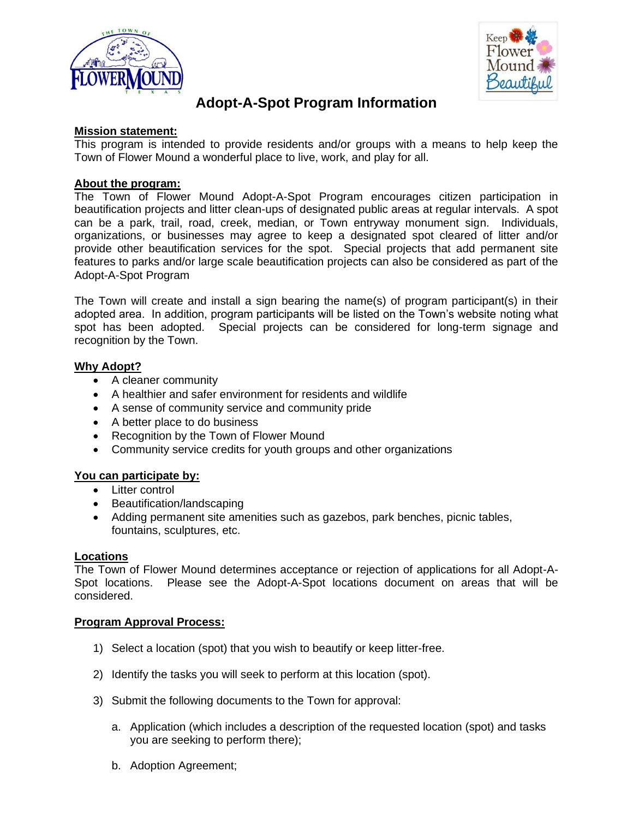



# **Adopt-A-Spot Program Information**

### **Mission statement:**

This program is intended to provide residents and/or groups with a means to help keep the Town of Flower Mound a wonderful place to live, work, and play for all.

# **About the program:**

The Town of Flower Mound Adopt-A-Spot Program encourages citizen participation in beautification projects and litter clean-ups of designated public areas at regular intervals. A spot can be a park, trail, road, creek, median, or Town entryway monument sign. Individuals, organizations, or businesses may agree to keep a designated spot cleared of litter and/or provide other beautification services for the spot. Special projects that add permanent site features to parks and/or large scale beautification projects can also be considered as part of the Adopt-A-Spot Program

The Town will create and install a sign bearing the name(s) of program participant(s) in their adopted area. In addition, program participants will be listed on the Town's website noting what spot has been adopted. Special projects can be considered for long-term signage and recognition by the Town.

# **Why Adopt?**

- A cleaner community
- A healthier and safer environment for residents and wildlife
- A sense of community service and community pride
- A better place to do business
- Recognition by the Town of Flower Mound
- Community service credits for youth groups and other organizations

#### **You can participate by:**

- Litter control
- Beautification/landscaping
- Adding permanent site amenities such as gazebos, park benches, picnic tables, fountains, sculptures, etc.

#### **Locations**

The Town of Flower Mound determines acceptance or rejection of applications for all Adopt-A-Spot locations. Please see the Adopt-A-Spot locations document on areas that will be considered.

#### **Program Approval Process:**

- 1) Select a location (spot) that you wish to beautify or keep litter-free.
- 2) Identify the tasks you will seek to perform at this location (spot).
- 3) Submit the following documents to the Town for approval:
	- a. Application (which includes a description of the requested location (spot) and tasks you are seeking to perform there);
	- b. Adoption Agreement;